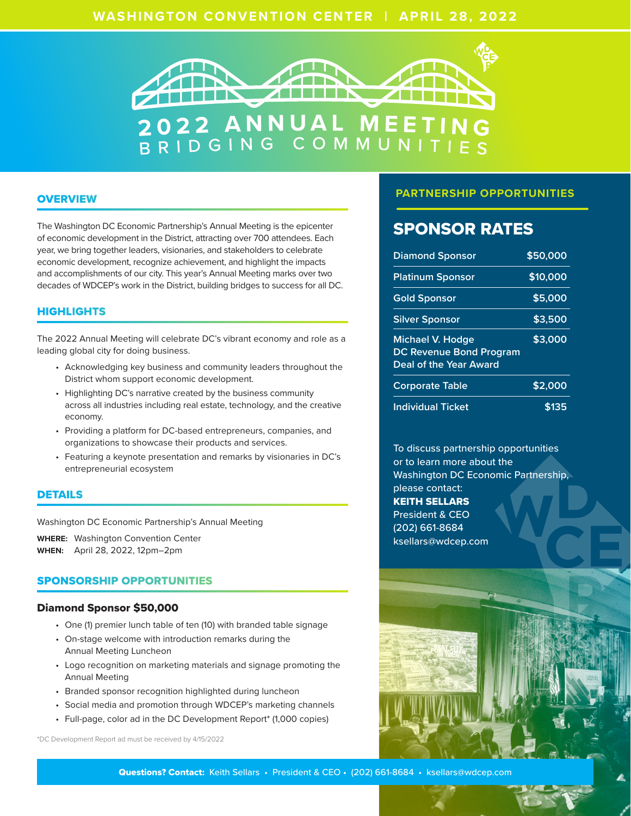# **WASHINGTON CONVENTION CENTER** | **APRIL 28, 2022**



# **OVERVIEW**

The Washington DC Economic Partnership's Annual Meeting is the epicenter of economic development in the District, attracting over 700 attendees. Each year, we bring together leaders, visionaries, and stakeholders to celebrate economic development, recognize achievement, and highlight the impacts and accomplishments of our city. This year's Annual Meeting marks over two decades of WDCEP's work in the District, building bridges to success for all DC.

# **HIGHLIGHTS**

The 2022 Annual Meeting will celebrate DC's vibrant economy and role as a leading global city for doing business.

- Acknowledging key business and community leaders throughout the District whom support economic development.
- Highlighting DC's narrative created by the business community across all industries including real estate, technology, and the creative economy.
- Providing a platform for DC-based entrepreneurs, companies, and organizations to showcase their products and services.
- Featuring a keynote presentation and remarks by visionaries in DC's entrepreneurial ecosystem

## DETAILS

Washington DC Economic Partnership's Annual Meeting

**WHERE:** Washington Convention Center **WHEN:** April 28, 2022, 12pm–2pm

# SPONSORSHIP OPPORTUNITIES

#### Diamond Sponsor \$50,000

- One (1) premier lunch table of ten (10) with branded table signage
- On-stage welcome with introduction remarks during the Annual Meeting Luncheon
- Logo recognition on marketing materials and signage promoting the Annual Meeting
- Branded sponsor recognition highlighted during luncheon
- Social media and promotion through WDCEP's marketing channels
- Full-page, color ad in the DC Development Report\* (1,000 copies)

\*DC Development Report ad must be received by 4/15/2022

# **PARTNERSHIP OPPORTUNITIES**

# SPONSOR RATES

| <b>Diamond Sponsor</b>                                                              | \$50,000 |
|-------------------------------------------------------------------------------------|----------|
| <b>Platinum Sponsor</b>                                                             | \$10,000 |
| <b>Gold Sponsor</b>                                                                 | \$5,000  |
| <b>Silver Sponsor</b>                                                               | \$3,500  |
| <b>Michael V. Hodge</b><br><b>DC Revenue Bond Program</b><br>Deal of the Year Award | \$3,000  |
| <b>Corporate Table</b>                                                              | \$2,000  |
| <b>Individual Ticket</b>                                                            | \$135    |

To discuss partnership opportunities or to learn more about the Washington DC Economic Partnership, please contact: KEITH SELLARS President & CEO (202) 661-8684 ksellars@wdcep.com



Questions? Contact: Keith Sellars • President & CEO • (202) 661-8684 • ksellars@wdcep.com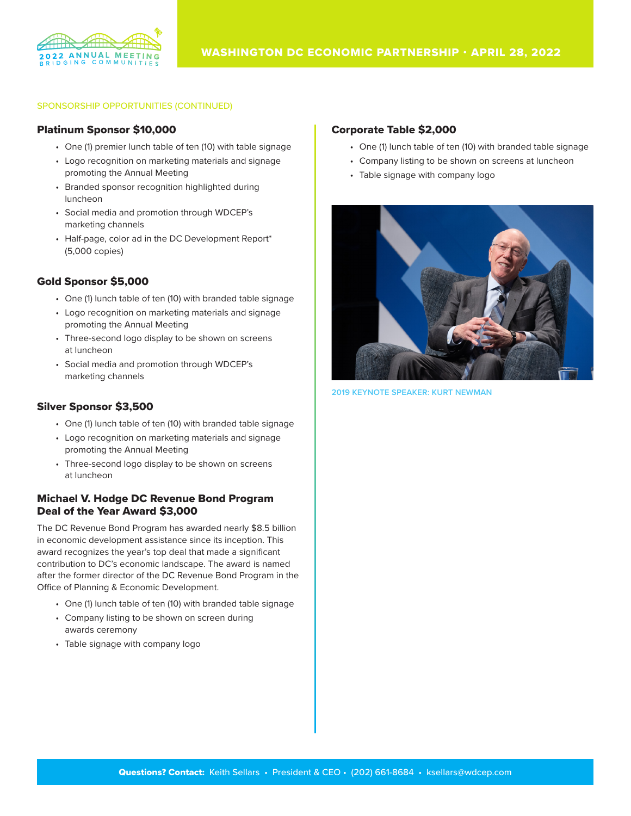

### SPONSORSHIP OPPORTUNITIES (CONTINUED)

## Platinum Sponsor \$10,000

- One (1) premier lunch table of ten (10) with table signage
- Logo recognition on marketing materials and signage promoting the Annual Meeting
- Branded sponsor recognition highlighted during luncheon
- Social media and promotion through WDCEP's marketing channels
- Half-page, color ad in the DC Development Report\* (5,000 copies)

# Gold Sponsor \$5,000

- One (1) lunch table of ten (10) with branded table signage
- Logo recognition on marketing materials and signage promoting the Annual Meeting
- Three-second logo display to be shown on screens at luncheon
- Social media and promotion through WDCEP's marketing channels

# Silver Sponsor \$3,500

- One (1) lunch table of ten (10) with branded table signage
- Logo recognition on marketing materials and signage promoting the Annual Meeting
- Three-second logo display to be shown on screens at luncheon

# Michael V. Hodge DC Revenue Bond Program Deal of the Year Award \$3,000

The DC Revenue Bond Program has awarded nearly \$8.5 billion in economic development assistance since its inception. This award recognizes the year's top deal that made a significant contribution to DC's economic landscape. The award is named after the former director of the DC Revenue Bond Program in the Office of Planning & Economic Development.

- One (1) lunch table of ten (10) with branded table signage
- Company listing to be shown on screen during awards ceremony
- Table signage with company logo

## Corporate Table \$2,000

- One (1) lunch table of ten (10) with branded table signage
- Company listing to be shown on screens at luncheon
- Table signage with company logo



**2019 KEYNOTE SPEAKER: KURT NEWMAN**